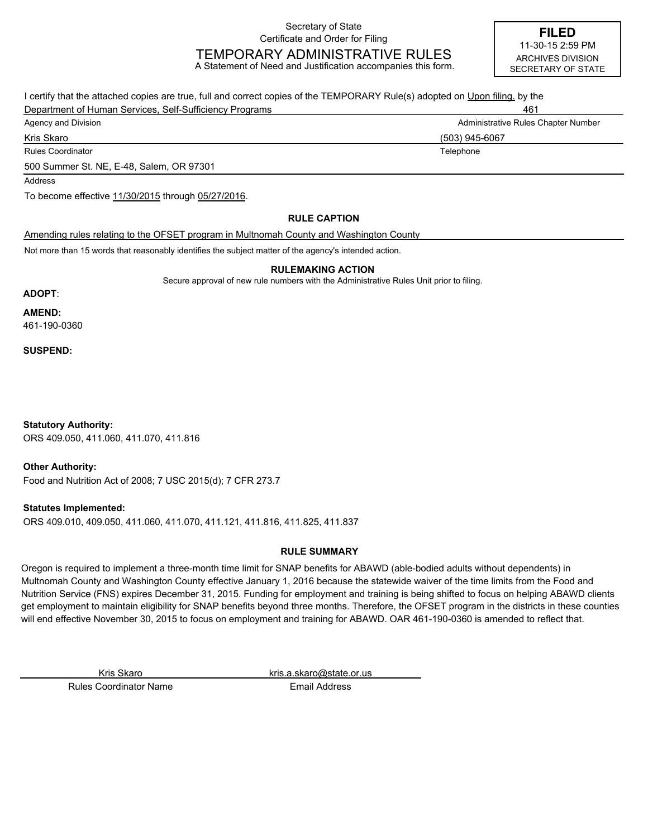Secretary of State Certificate and Order for Filing

# TEMPORARY ADMINISTRATIVE RULES

A Statement of Need and Justification accompanies this form.

**FILED** ARCHIVES DIVISION SECRETARY OF STATE 11-30-15 2:59 PM

I certify that the attached copies are true, full and correct copies of the TEMPORARY Rule(s) adopted on Upon filing. by the Department of Human Services, Self-Sufficiency Programs 461 Agency and Division **Administrative Rules Chapter Number** Administrative Rules Chapter Number Rules Coordinator **Telephone Telephone Telephone Telephone Telephone Telephone** Kris Skaro (503) 945-6067 500 Summer St. NE, E-48, Salem, OR 97301 Amending rules relating to the OFSET program in Multnomah County and Washington County **RULE CAPTION** To become effective 11/30/2015 through 05/27/2016. Address

Not more than 15 words that reasonably identifies the subject matter of the agency's intended action.

#### **RULEMAKING ACTION**

Secure approval of new rule numbers with the Administrative Rules Unit prior to filing.

#### **ADOPT**:

**AMEND:**

461-190-0360

**SUSPEND:**

ORS 409.050, 411.060, 411.070, 411.816 **Statutory Authority:**

**Other Authority:**

Food and Nutrition Act of 2008; 7 USC 2015(d); 7 CFR 273.7

**Statutes Implemented:**

ORS 409.010, 409.050, 411.060, 411.070, 411.121, 411.816, 411.825, 411.837

# **RULE SUMMARY**

Oregon is required to implement a three-month time limit for SNAP benefits for ABAWD (able-bodied adults without dependents) in Multnomah County and Washington County effective January 1, 2016 because the statewide waiver of the time limits from the Food and Nutrition Service (FNS) expires December 31, 2015. Funding for employment and training is being shifted to focus on helping ABAWD clients get employment to maintain eligibility for SNAP benefits beyond three months. Therefore, the OFSET program in the districts in these counties will end effective November 30, 2015 to focus on employment and training for ABAWD. OAR 461-190-0360 is amended to reflect that.

Kris Skaro kris.a.skaro@state.or.us

Rules Coordinator Name **Email Address**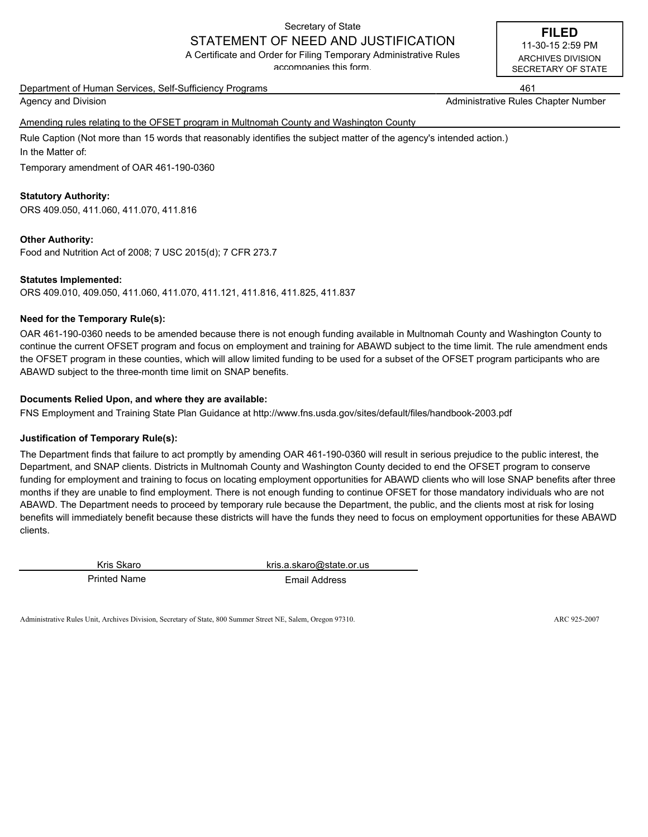# Secretary of State

# STATEMENT OF NEED AND JUSTIFICATION

A Certificate and Order for Filing Temporary Administrative Rules accompanies this form.

Department of Human Services, Self-Sufficiency Programs 461

Agency and Division Administrative Rules Chapter Number (Administrative Rules Chapter Number

Amending rules relating to the OFSET program in Multnomah County and Washington County

Rule Caption (Not more than 15 words that reasonably identifies the subject matter of the agency's intended action.) In the Matter of:

Temporary amendment of OAR 461-190-0360

# **Statutory Authority:**

ORS 409.050, 411.060, 411.070, 411.816

### **Other Authority:**

Food and Nutrition Act of 2008; 7 USC 2015(d); 7 CFR 273.7

### **Statutes Implemented:**

ORS 409.010, 409.050, 411.060, 411.070, 411.121, 411.816, 411.825, 411.837

# **Need for the Temporary Rule(s):**

OAR 461-190-0360 needs to be amended because there is not enough funding available in Multnomah County and Washington County to continue the current OFSET program and focus on employment and training for ABAWD subject to the time limit. The rule amendment ends the OFSET program in these counties, which will allow limited funding to be used for a subset of the OFSET program participants who are ABAWD subject to the three-month time limit on SNAP benefits.

# **Documents Relied Upon, and where they are available:**

FNS Employment and Training State Plan Guidance at http://www.fns.usda.gov/sites/default/files/handbook-2003.pdf

### **Justification of Temporary Rule(s):**

The Department finds that failure to act promptly by amending OAR 461-190-0360 will result in serious prejudice to the public interest, the Department, and SNAP clients. Districts in Multnomah County and Washington County decided to end the OFSET program to conserve funding for employment and training to focus on locating employment opportunities for ABAWD clients who will lose SNAP benefits after three months if they are unable to find employment. There is not enough funding to continue OFSET for those mandatory individuals who are not ABAWD. The Department needs to proceed by temporary rule because the Department, the public, and the clients most at risk for losing benefits will immediately benefit because these districts will have the funds they need to focus on employment opportunities for these ABAWD clients.

Printed Name **Email Address** 

Kris Skaro kris.a.skaro@state.or.us

Administrative Rules Unit, Archives Division, Secretary of State, 800 Summer Street NE, Salem, Oregon 97310. ARC 925-2007